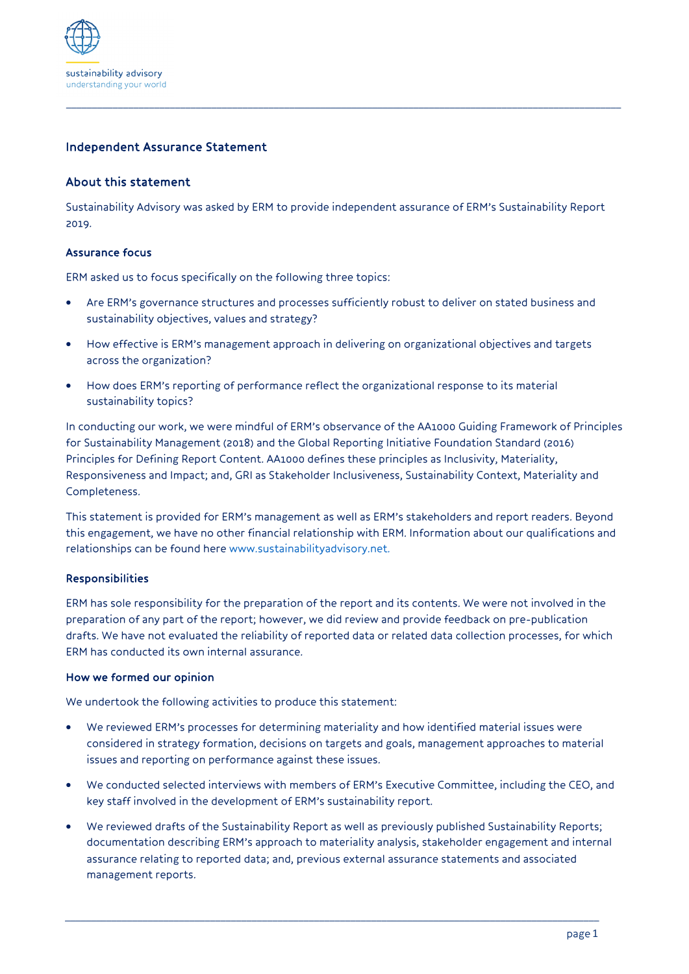

# Independent Assurance Statement

# About this statement

Sustainability Advisory was asked by ERM to provide independent assurance of ERM's Sustainability Report 2019.

*\_\_\_\_\_\_\_\_\_\_\_\_\_\_\_\_\_\_\_\_\_\_\_\_\_\_\_\_\_\_\_\_\_\_\_\_\_\_\_\_\_\_\_\_\_\_\_\_\_\_\_\_\_\_\_\_\_\_\_\_\_\_\_\_\_\_\_\_\_\_\_\_\_\_\_\_\_\_\_\_\_\_\_\_\_\_\_\_\_\_\_\_\_\_\_\_\_\_\_\_\_\_\_\_\_\_\_*

## Assurance focus

ERM asked us to focus specifically on the following three topics:

- Are ERM's governance structures and processes sufficiently robust to deliver on stated business and sustainability objectives, values and strategy?
- How effective is ERM's management approach in delivering on organizational objectives and targets across the organization?
- How does ERM's reporting of performance reflect the organizational response to its material sustainability topics?

In conducting our work, we were mindful of ERM's observance of the AA1000 Guiding Framework of Principles for Sustainability Management (2018) and the Global Reporting Initiative Foundation Standard (2016) Principles for Defining Report Content. AA1000 defines these principles as Inclusivity, Materiality, Responsiveness and Impact; and, GRI as Stakeholder Inclusiveness, Sustainability Context, Materiality and Completeness.

This statement is provided for ERM's management as well as ERM's stakeholders and report readers. Beyond this engagement, we have no other financial relationship with ERM. Information about our qualifications and relationships can be found here www.sustainabilityadvisory.net.

## Responsibilities

ERM has sole responsibility for the preparation of the report and its contents. We were not involved in the preparation of any part of the report; however, we did review and provide feedback on pre-publication drafts. We have not evaluated the reliability of reported data or related data collection processes, for which ERM has conducted its own internal assurance.

#### How we formed our opinion

We undertook the following activities to produce this statement:

- We reviewed ERM's processes for determining materiality and how identified material issues were considered in strategy formation, decisions on targets and goals, management approaches to material issues and reporting on performance against these issues.
- We conducted selected interviews with members of ERM's Executive Committee, including the CEO, and key staff involved in the development of ERM's sustainability report.
- We reviewed drafts of the Sustainability Report as well as previously published Sustainability Reports; documentation describing ERM's approach to materiality analysis, stakeholder engagement and internal assurance relating to reported data; and, previous external assurance statements and associated management reports.

*\_\_\_\_\_\_\_\_\_\_\_\_\_\_\_\_\_\_\_\_\_\_\_\_\_\_\_\_\_\_\_\_\_\_\_\_\_\_\_\_\_\_\_\_\_\_\_\_\_\_\_\_\_\_\_\_\_\_\_\_\_\_\_\_\_\_\_\_\_\_\_\_\_\_\_\_\_\_\_\_\_\_\_\_\_\_\_\_\_\_\_\_\_\_\_\_\_\_\_\_\_\_\_*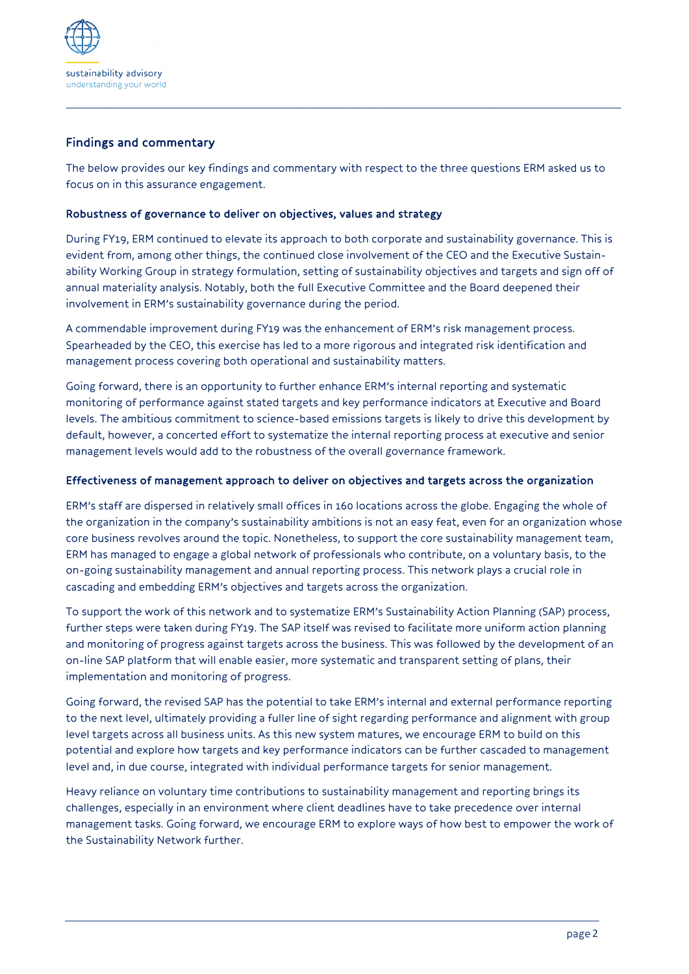

# Findings and commentary

The below provides our key findings and commentary with respect to the three questions ERM asked us to focus on in this assurance engagement.

*\_\_\_\_\_\_\_\_\_\_\_\_\_\_\_\_\_\_\_\_\_\_\_\_\_\_\_\_\_\_\_\_\_\_\_\_\_\_\_\_\_\_\_\_\_\_\_\_\_\_\_\_\_\_\_\_\_\_\_\_\_\_\_\_\_\_\_\_\_\_\_\_\_\_\_\_\_\_\_\_\_\_\_\_\_\_\_\_\_\_\_\_\_\_\_\_\_\_\_\_\_\_\_\_\_\_\_*

## Robustness of governance to deliver on objectives, values and strategy

During FY19, ERM continued to elevate its approach to both corporate and sustainability governance. This is evident from, among other things, the continued close involvement of the CEO and the Executive Sustainability Working Group in strategy formulation, setting of sustainability objectives and targets and sign off of annual materiality analysis. Notably, both the full Executive Committee and the Board deepened their involvement in ERM's sustainability governance during the period.

A commendable improvement during FY19 was the enhancement of ERM's risk management process. Spearheaded by the CEO, this exercise has led to a more rigorous and integrated risk identification and management process covering both operational and sustainability matters.

Going forward, there is an opportunity to further enhance ERM's internal reporting and systematic monitoring of performance against stated targets and key performance indicators at Executive and Board levels. The ambitious commitment to science-based emissions targets is likely to drive this development by default, however, a concerted effort to systematize the internal reporting process at executive and senior management levels would add to the robustness of the overall governance framework.

## Effectiveness of management approach to deliver on objectives and targets across the organization

ERM's staff are dispersed in relatively small offices in 160 locations across the globe. Engaging the whole of the organization in the company's sustainability ambitions is not an easy feat, even for an organization whose core business revolves around the topic. Nonetheless, to support the core sustainability management team, ERM has managed to engage a global network of professionals who contribute, on a voluntary basis, to the on-going sustainability management and annual reporting process. This network plays a crucial role in cascading and embedding ERM's objectives and targets across the organization.

To support the work of this network and to systematize ERM's Sustainability Action Planning (SAP) process, further steps were taken during FY19. The SAP itself was revised to facilitate more uniform action planning and monitoring of progress against targets across the business. This was followed by the development of an on-line SAP platform that will enable easier, more systematic and transparent setting of plans, their implementation and monitoring of progress.

Going forward, the revised SAP has the potential to take ERM's internal and external performance reporting to the next level, ultimately providing a fuller line of sight regarding performance and alignment with group level targets across all business units. As this new system matures, we encourage ERM to build on this potential and explore how targets and key performance indicators can be further cascaded to management level and, in due course, integrated with individual performance targets for senior management.

Heavy reliance on voluntary time contributions to sustainability management and reporting brings its challenges, especially in an environment where client deadlines have to take precedence over internal management tasks. Going forward, we encourage ERM to explore ways of how best to empower the work of the Sustainability Network further.

*\_\_\_\_\_\_\_\_\_\_\_\_\_\_\_\_\_\_\_\_\_\_\_\_\_\_\_\_\_\_\_\_\_\_\_\_\_\_\_\_\_\_\_\_\_\_\_\_\_\_\_\_\_\_\_\_\_\_\_\_\_\_\_\_\_\_\_\_\_\_\_\_\_\_\_\_\_\_\_\_\_\_\_\_\_\_\_\_\_\_\_\_\_\_\_\_\_\_\_\_\_\_\_*